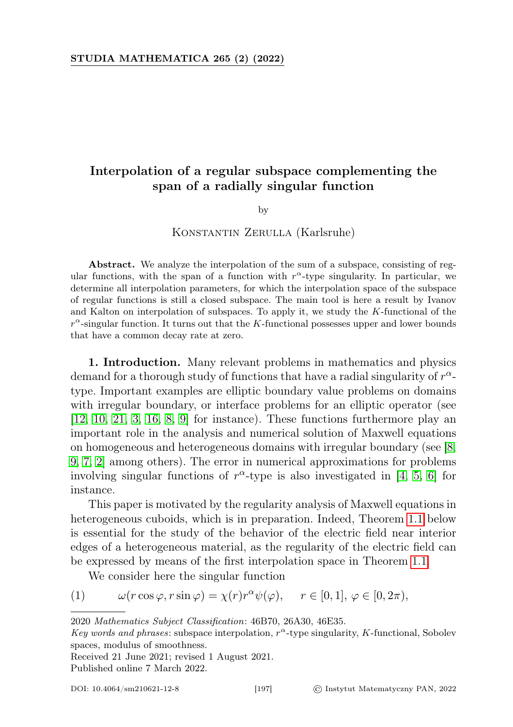# Interpolation of a regular subspace complementing the span of a radially singular function

by

## Konstantin Zerulla (Karlsruhe)

Abstract. We analyze the interpolation of the sum of a subspace, consisting of regular functions, with the span of a function with  $r^{\alpha}$ -type singularity. In particular, we determine all interpolation parameters, for which the interpolation space of the subspace of regular functions is still a closed subspace. The main tool is here a result by Ivanov and Kalton on interpolation of subspaces. To apply it, we study the K-functional of the  $r^{\alpha}$ -singular function. It turns out that the K-functional possesses upper and lower bounds that have a common decay rate at zero.

<span id="page-0-1"></span>1. Introduction. Many relevant problems in mathematics and physics demand for a thorough study of functions that have a radial singularity of  $r^{\alpha}$ type. Important examples are elliptic boundary value problems on domains with irregular boundary, or interface problems for an elliptic operator (see [\[12,](#page-12-0) [10,](#page-12-1) [21,](#page-12-2) [3,](#page-12-3) [16,](#page-12-4) [8,](#page-12-5) [9\]](#page-12-6) for instance). These functions furthermore play an important role in the analysis and numerical solution of Maxwell equations on homogeneous and heterogeneous domains with irregular boundary (see [\[8,](#page-12-5) [9,](#page-12-6) [7,](#page-12-7) [2\]](#page-12-8) among others). The error in numerical approximations for problems involving singular functions of  $r^{\alpha}$ -type is also investigated in [\[4,](#page-12-9) [5,](#page-12-10) [6\]](#page-12-11) for instance.

This paper is motivated by the regularity analysis of Maxwell equations in heterogeneous cuboids, which is in preparation. Indeed, Theorem [1.1](#page-1-0) below is essential for the study of the behavior of the electric field near interior edges of a heterogeneous material, as the regularity of the electric field can be expressed by means of the first interpolation space in Theorem [1.1.](#page-1-0)

<span id="page-0-0"></span>We consider here the singular function

(1) 
$$
\omega(r\cos\varphi, r\sin\varphi) = \chi(r)r^{\alpha}\psi(\varphi), \quad r \in [0, 1], \varphi \in [0, 2\pi),
$$

Received 21 June 2021; revised 1 August 2021.

Published online 7 March 2022.

<sup>2020</sup> Mathematics Subject Classification: 46B70, 26A30, 46E35.

Key words and phrases: subspace interpolation,  $r^{\alpha}$ -type singularity, K-functional, Sobolev spaces, modulus of smoothness.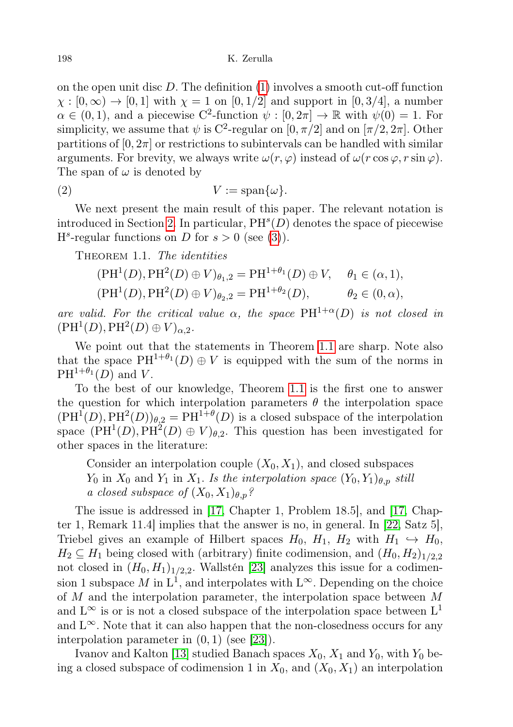on the open unit disc  $D$ . The definition  $(1)$  involves a smooth cut-off function  $\chi : [0, \infty) \to [0, 1]$  with  $\chi = 1$  on  $[0, 1/2]$  and support in  $[0, 3/4]$ , a number  $\alpha \in (0, 1)$ , and a piecewise C<sup>2</sup>-function  $\psi : [0, 2\pi] \to \mathbb{R}$  with  $\psi(0) = 1$ . For simplicity, we assume that  $\psi$  is C<sup>2</sup>-regular on [0,  $\pi/2$ ] and on [ $\pi/2$ ,  $2\pi$ ]. Other partitions of  $[0, 2\pi]$  or restrictions to subintervals can be handled with similar arguments. For brevity, we always write  $\omega(r, \varphi)$  instead of  $\omega(r \cos \varphi, r \sin \varphi)$ . The span of  $\omega$  is denoted by

<span id="page-1-1"></span>
$$
(2) \tV := \text{span}\{\omega\}.
$$

We next present the main result of this paper. The relevant notation is introduced in Section [2.](#page-2-0) In particular,  $PH<sup>s</sup>(D)$  denotes the space of piecewise  $H<sup>s</sup>$ -regular functions on D for  $s > 0$  (see [\(3\)](#page-3-0)).

<span id="page-1-0"></span>THEOREM 1.1. The *identities* 

$$
(\text{PH}^1(D), \text{PH}^2(D) \oplus V)_{\theta_1,2} = \text{PH}^{1+\theta_1}(D) \oplus V, \quad \theta_1 \in (\alpha, 1),
$$
  

$$
(\text{PH}^1(D), \text{PH}^2(D) \oplus V)_{\theta_2,2} = \text{PH}^{1+\theta_2}(D), \qquad \theta_2 \in (0, \alpha),
$$

are valid. For the critical value  $\alpha$ , the space PH<sup>1+ $\alpha$ </sup>(D) is not closed in  $(PH<sup>1</sup>(D), PH<sup>2</sup>(D) \oplus V)_{\alpha,2}$ .

We point out that the statements in Theorem [1.1](#page-1-0) are sharp. Note also that the space  $PH^{1+\theta_1}(D) \oplus V$  is equipped with the sum of the norms in  $PH^{1+\theta_1}(D)$  and V.

To the best of our knowledge, Theorem [1.1](#page-1-0) is the first one to answer the question for which interpolation parameters  $\theta$  the interpolation space  $(\text{PH}^1(D), \text{PH}^2(D))_{\theta,2} = \text{PH}^{1+\theta}(D)$  is a closed subspace of the interpolation space  $(PH<sup>1</sup>(D), PH<sup>2</sup>(D) \oplus V)_{\theta,2}$ . This question has been investigated for other spaces in the literature:

Consider an interpolation couple  $(X_0, X_1)$ , and closed subspaces  $Y_0$  in  $X_0$  and  $Y_1$  in  $X_1$ . Is the interpolation space  $(Y_0, Y_1)_{\theta, p}$  still a closed subspace of  $(X_0, X_1)_{\theta, p}$ ?

The issue is addressed in [\[17,](#page-12-12) Chapter 1, Problem 18.5], and [\[17,](#page-12-12) Chapter 1, Remark 11.4] implies that the answer is no, in general. In [\[22,](#page-13-0) Satz 5], Triebel gives an example of Hilbert spaces  $H_0$ ,  $H_1$ ,  $H_2$  with  $H_1 \hookrightarrow H_0$ ,  $H_2 \subseteq H_1$  being closed with (arbitrary) finite codimension, and  $(H_0, H_2)_{1/2,2}$ not closed in  $(H_0, H_1)_{1/2,2}$ . Wallstén [\[23\]](#page-13-1) analyzes this issue for a codimension 1 subspace M in  $L^1$ , and interpolates with  $L^{\infty}$ . Depending on the choice of M and the interpolation parameter, the interpolation space between M and  $L^{\infty}$  is or is not a closed subspace of the interpolation space between  $L^{1}$ and  $L^{\infty}$ . Note that it can also happen that the non-closedness occurs for any interpolation parameter in  $(0, 1)$  (see [\[23\]](#page-13-1)).

Ivanov and Kalton [\[13\]](#page-12-13) studied Banach spaces  $X_0$ ,  $X_1$  and  $Y_0$ , with  $Y_0$  being a closed subspace of codimension 1 in  $X_0$ , and  $(X_0, X_1)$  an interpolation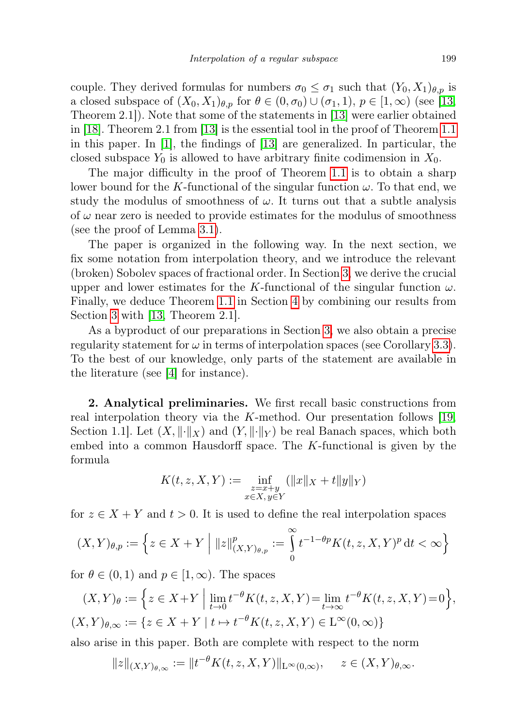couple. They derived formulas for numbers  $\sigma_0 \leq \sigma_1$  such that  $(Y_0, X_1)_{\theta, p}$  is a closed subspace of  $(X_0, X_1)_{\theta, p}$  for  $\theta \in (0, \sigma_0) \cup (\sigma_1, 1), p \in [1, \infty)$  (see [\[13,](#page-12-13) Theorem 2.1]). Note that some of the statements in [\[13\]](#page-12-13) were earlier obtained in [\[18\]](#page-12-14). Theorem 2.1 from [\[13\]](#page-12-13) is the essential tool in the proof of Theorem [1.1](#page-1-0) in this paper. In [\[1\]](#page-12-15), the findings of [\[13\]](#page-12-13) are generalized. In particular, the closed subspace  $Y_0$  is allowed to have arbitrary finite codimension in  $X_0$ .

The major difficulty in the proof of Theorem [1.1](#page-1-0) is to obtain a sharp lower bound for the K-functional of the singular function  $\omega$ . To that end, we study the modulus of smoothness of  $\omega$ . It turns out that a subtle analysis of  $\omega$  near zero is needed to provide estimates for the modulus of smoothness (see the proof of Lemma [3.1\)](#page-4-0).

The paper is organized in the following way. In the next section, we fix some notation from interpolation theory, and we introduce the relevant (broken) Sobolev spaces of fractional order. In Section [3,](#page-4-1) we derive the crucial upper and lower estimates for the K-functional of the singular function  $\omega$ . Finally, we deduce Theorem [1.1](#page-1-0) in Section [4](#page-8-0) by combining our results from Section [3](#page-4-1) with [\[13,](#page-12-13) Theorem 2.1].

As a byproduct of our preparations in Section [3,](#page-4-1) we also obtain a precise regularity statement for  $\omega$  in terms of interpolation spaces (see Corollary [3.3\)](#page-8-1). To the best of our knowledge, only parts of the statement are available in the literature (see [\[4\]](#page-12-9) for instance).

<span id="page-2-0"></span>2. Analytical preliminaries. We first recall basic constructions from real interpolation theory via the K-method. Our presentation follows [\[19,](#page-12-16) Section 1.1. Let  $(X, \|\cdot\|_X)$  and  $(Y, \|\cdot\|_Y)$  be real Banach spaces, which both embed into a common Hausdorff space. The  $K$ -functional is given by the formula

$$
K(t, z, X, Y) := \inf_{\substack{z = x + y \\ x \in X, y \in Y}} (\|x\|_X + t \|y\|_Y)
$$

for  $z \in X + Y$  and  $t > 0$ . It is used to define the real interpolation spaces

$$
(X,Y)_{\theta,p} := \left\{ z \in X + Y \mid ||z||^p_{(X,Y)_{\theta,p}} := \int_{0}^{\infty} t^{-1-\theta p} K(t,z,X,Y)^p dt < \infty \right\}
$$

for  $\theta \in (0,1)$  and  $p \in [1,\infty)$ . The spaces

$$
(X,Y)_{\theta} := \left\{ z \in X + Y \mid \lim_{t \to 0} t^{-\theta} K(t,z,X,Y) = \lim_{t \to \infty} t^{-\theta} K(t,z,X,Y) = 0 \right\},\
$$
  

$$
(X,Y)_{\theta,\infty} := \left\{ z \in X + Y \mid t \mapsto t^{-\theta} K(t,z,X,Y) \in \mathcal{L}^{\infty}(0,\infty) \right\}
$$

also arise in this paper. Both are complete with respect to the norm

$$
||z||_{(X,Y)_{\theta,\infty}} := ||t^{-\theta}K(t,z,X,Y)||_{L^{\infty}(0,\infty)}, \quad z \in (X,Y)_{\theta,\infty}.
$$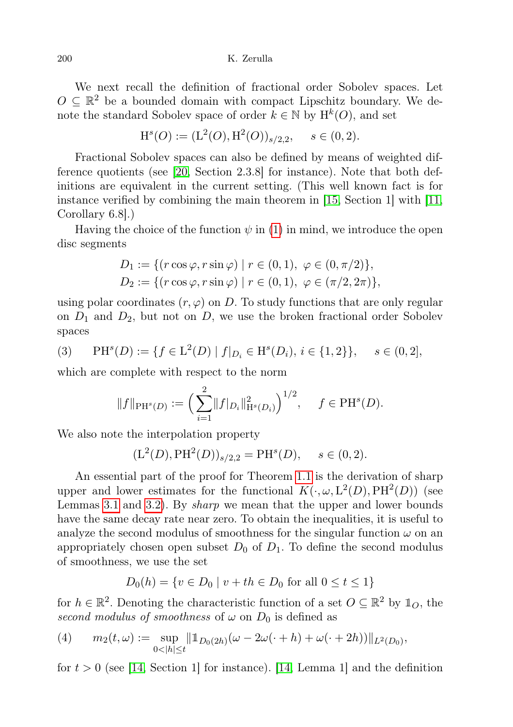200 K. Zerulla

We next recall the definition of fractional order Sobolev spaces. Let  $O \subseteq \mathbb{R}^2$  be a bounded domain with compact Lipschitz boundary. We denote the standard Sobolev space of order  $k \in \mathbb{N}$  by  $H^k(O)$ , and set

$$
\mathrm{H}^s(O) := (\mathrm{L}^2(O), \mathrm{H}^2(O))_{s/2,2}, \quad s \in (0,2).
$$

Fractional Sobolev spaces can also be defined by means of weighted difference quotients (see [\[20,](#page-12-17) Section 2.3.8] for instance). Note that both definitions are equivalent in the current setting. (This well known fact is for instance verified by combining the main theorem in [\[15,](#page-12-18) Section 1] with [\[11,](#page-12-19) Corollary 6.8].)

Having the choice of the function  $\psi$  in [\(1\)](#page-0-0) in mind, we introduce the open disc segments

$$
D_1 := \{ (r \cos \varphi, r \sin \varphi) \mid r \in (0, 1), \varphi \in (0, \pi/2) \},
$$
  

$$
D_2 := \{ (r \cos \varphi, r \sin \varphi) \mid r \in (0, 1), \varphi \in (\pi/2, 2\pi) \},
$$

using polar coordinates  $(r, \varphi)$  on D. To study functions that are only regular on  $D_1$  and  $D_2$ , but not on D, we use the broken fractional order Sobolev spaces

<span id="page-3-0"></span>(3) 
$$
\text{PH}^s(D) := \{ f \in \mathcal{L}^2(D) \mid f|_{D_i} \in \mathcal{H}^s(D_i), i \in \{1, 2\} \}, \quad s \in (0, 2],
$$

which are complete with respect to the norm

$$
||f||_{\text{PH}^s(D)} := \left(\sum_{i=1}^2 ||f|_{D_i}||_{\text{H}^s(D_i)}^2\right)^{1/2}, \quad f \in \text{PH}^s(D).
$$

We also note the interpolation property

$$
(\mathcal{L}^2(D), \mathcal{P}\mathcal{H}^2(D))_{s/2,2} = \mathcal{P}\mathcal{H}^s(D), \quad s \in (0,2).
$$

An essential part of the proof for Theorem [1.1](#page-1-0) is the derivation of sharp upper and lower estimates for the functional  $K(\cdot, \omega, L^2(D), PH^2(D))$  (see Lemmas [3.1](#page-4-0) and [3.2\)](#page-6-0). By sharp we mean that the upper and lower bounds have the same decay rate near zero. To obtain the inequalities, it is useful to analyze the second modulus of smoothness for the singular function  $\omega$  on an appropriately chosen open subset  $D_0$  of  $D_1$ . To define the second modulus of smoothness, we use the set

$$
D_0(h) = \{ v \in D_0 \mid v + th \in D_0 \text{ for all } 0 \le t \le 1 \}
$$

for  $h \in \mathbb{R}^2$ . Denoting the characteristic function of a set  $O \subseteq \mathbb{R}^2$  by  $\mathbb{1}_O$ , the second modulus of smoothness of  $\omega$  on  $D_0$  is defined as

<span id="page-3-1"></span>(4) 
$$
m_2(t,\omega) := \sup_{0 < |h| \le t} \|\mathbb{1}_{D_0(2h)}(\omega - 2\omega(\cdot + h) + \omega(\cdot + 2h))\|_{L^2(D_0)},
$$

for  $t > 0$  (see [\[14,](#page-12-20) Section 1] for instance). [14, Lemma 1] and the definition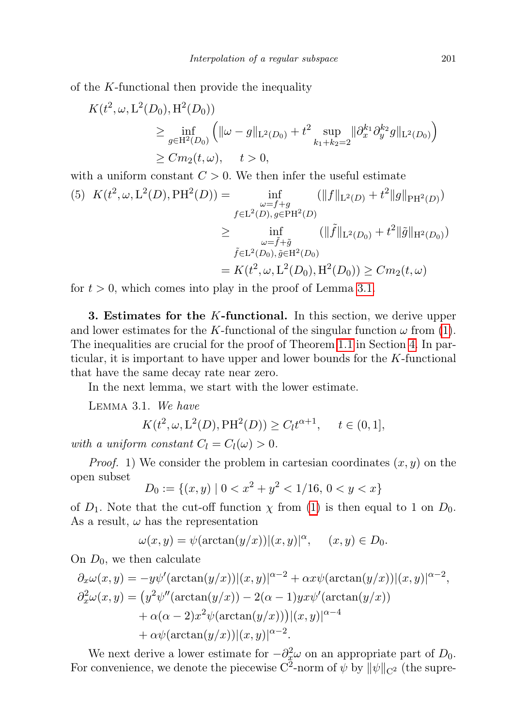of the K-functional then provide the inequality

$$
K(t^2, \omega, L^2(D_0), H^2(D_0))
$$
  
\n
$$
\geq \inf_{g \in H^2(D_0)} \left( \|\omega - g\|_{L^2(D_0)} + t^2 \sup_{k_1 + k_2 = 2} \|\partial_x^{k_1} \partial_y^{k_2} g\|_{L^2(D_0)} \right)
$$
  
\n
$$
\geq C m_2(t, \omega), \quad t > 0,
$$

with a uniform constant  $C > 0$ . We then infer the useful estimate

<span id="page-4-2"></span>
$$
(5) \ \ K(t^2, \omega, L^2(D), PH^2(D)) = \inf_{\substack{\omega = f+g \\ f \in L^2(D), g \in PH^2(D)}} (\|f\|_{L^2(D)} + t^2 \|g\|_{PH^2(D)})
$$

$$
\geq \inf_{\substack{\omega = \tilde{f} + \tilde{g} \\ \tilde{f} \in L^2(D_0), \tilde{g} \in H^2(D_0)}} (\|\tilde{f}\|_{L^2(D_0)} + t^2 \|\tilde{g}\|_{H^2(D_0)})
$$

$$
= K(t^2, \omega, L^2(D_0), H^2(D_0)) \geq Cm_2(t, \omega)
$$

for  $t > 0$ , which comes into play in the proof of Lemma [3.1.](#page-4-0)

<span id="page-4-1"></span>**3. Estimates for the K-functional.** In this section, we derive upper and lower estimates for the K-functional of the singular function  $\omega$  from [\(1\)](#page-0-0). The inequalities are crucial for the proof of Theorem [1.1](#page-1-0) in Section [4.](#page-8-0) In particular, it is important to have upper and lower bounds for the K-functional that have the same decay rate near zero.

In the next lemma, we start with the lower estimate.

<span id="page-4-0"></span>Lemma 3.1. We have

$$
K(t^2, \omega, L^2(D), PH^2(D)) \ge C_l t^{\alpha+1}, \quad t \in (0, 1],
$$

with a uniform constant  $C_l = C_l(\omega) > 0$ .

*Proof.* 1) We consider the problem in cartesian coordinates  $(x, y)$  on the open subset

$$
D_0 := \{(x, y) \mid 0 < x^2 + y^2 < 1/16, \, 0 < y < x\}
$$

of  $D_1$ . Note that the cut-off function  $\chi$  from [\(1\)](#page-0-0) is then equal to 1 on  $D_0$ . As a result,  $\omega$  has the representation

$$
\omega(x, y) = \psi(\arctan(y/x))|(x, y)|^{\alpha}, \quad (x, y) \in D_0.
$$

On  $D_0$ , we then calculate

$$
\partial_x \omega(x, y) = -y \psi'(\arctan(y/x))|(x, y)|^{\alpha-2} + \alpha x \psi(\arctan(y/x))|(x, y)|^{\alpha-2},
$$
  
\n
$$
\partial_x^2 \omega(x, y) = (y^2 \psi''(\arctan(y/x)) - 2(\alpha - 1)yx\psi'(\arctan(y/x))
$$
  
\n
$$
+ \alpha(\alpha - 2)x^2 \psi(\arctan(y/x))|(x, y)|^{\alpha-4}
$$
  
\n
$$
+ \alpha \psi(\arctan(y/x))|(x, y)|^{\alpha-2}.
$$

We next derive a lower estimate for  $-\partial_x^2 \omega$  on an appropriate part of  $D_0$ . For convenience, we denote the piecewise C<sup>2</sup>-norm of  $\psi$  by  $\|\psi\|_{\mathbf{C}^2}$  (the supre-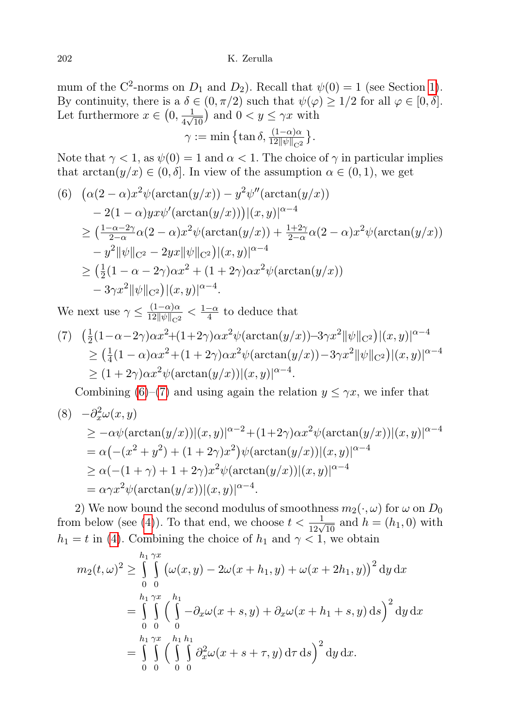mum of the C<sup>2</sup>-norms on  $D_1$  and  $D_2$ ). Recall that  $\psi(0) = 1$  (see Section [1\)](#page-0-1). By continuity, there is a  $\delta \in (0, \pi/2)$  such that  $\psi(\varphi) \geq 1/2$  for all  $\varphi \in [0, \delta]$ . Let furthermore  $x \in (0, \frac{1}{4\sqrt{2}})$  $\frac{1}{4\sqrt{10}}$  and  $0 < y \leq \gamma x$  with

$$
\gamma := \min \big\{ \tan \delta, \frac{(1-\alpha)\alpha}{12 \|\psi\|_{C^2}} \big\}.
$$

Note that  $\gamma < 1$ , as  $\psi(0) = 1$  and  $\alpha < 1$ . The choice of  $\gamma$  in particular implies that  $\arctan(y/x) \in (0, \delta]$ . In view of the assumption  $\alpha \in (0, 1)$ , we get

<span id="page-5-0"></span>
$$
(6) \ (\alpha(2-\alpha)x^2\psi(\arctan(y/x)) - y^2\psi''(\arctan(y/x))
$$
  
\n
$$
- 2(1-\alpha)yx\psi'(\arctan(y/x))\Big| (x, y)\Big|^{\alpha-4}
$$
  
\n
$$
\geq \left(\frac{1-\alpha-2\gamma}{2-\alpha}\alpha(2-\alpha)x^2\psi(\arctan(y/x)) + \frac{1+2\gamma}{2-\alpha}\alpha(2-\alpha)x^2\psi(\arctan(y/x)) - y^2\|\psi\|_{C^2} - 2yx\|\psi\|_{C^2}\right)\Big| (x, y)\Big|^{\alpha-4}
$$
  
\n
$$
\geq \left(\frac{1}{2}(1-\alpha-2\gamma)\alpha x^2 + (1+2\gamma)\alpha x^2\psi(\arctan(y/x)) - 3\gamma x^2\|\psi\|_{C^2}\right)\Big| (x, y)\Big|^{\alpha-4}.
$$

We next use  $\gamma \leq \frac{(1-\alpha)\alpha}{12\|\gamma\|\alpha\|}$  $\frac{(1-\alpha)\alpha}{12\|\psi\|_{\mathcal{C}^2}} < \frac{1-\alpha}{4}$  $\frac{-\alpha}{4}$  to deduce that

<span id="page-5-1"></span>
$$
(7) \quad \left(\frac{1}{2}(1-\alpha-2\gamma)\alpha x^2 + (1+2\gamma)\alpha x^2 \psi(\arctan(y/x)) - 3\gamma x^2 \|\psi\|_{C^2}\right) |(x,y)|^{\alpha-4}
$$
  
\n
$$
\geq \left(\frac{1}{4}(1-\alpha)\alpha x^2 + (1+2\gamma)\alpha x^2 \psi(\arctan(y/x)) - 3\gamma x^2 \|\psi\|_{C^2}\right) |(x,y)|^{\alpha-4}
$$
  
\n
$$
\geq (1+2\gamma)\alpha x^2 \psi(\arctan(y/x)) |(x,y)|^{\alpha-4}.
$$

Combining [\(6\)](#page-5-0)–[\(7\)](#page-5-1) and using again the relation  $y \leq \gamma x$ , we infer that

<span id="page-5-2"></span>(8) 
$$
-\partial_x^2 \omega(x, y)
$$
  
\n
$$
\geq -\alpha \psi(\arctan(y/x))|(x, y)|^{\alpha-2} + (1+2\gamma)\alpha x^2 \psi(\arctan(y/x))|(x, y)|^{\alpha-4}
$$
  
\n
$$
= \alpha(-(x^2 + y^2) + (1 + 2\gamma)x^2)\psi(\arctan(y/x))|(x, y)|^{\alpha-4}
$$
  
\n
$$
\geq \alpha(-(1 + \gamma) + 1 + 2\gamma)x^2 \psi(\arctan(y/x))|(x, y)|^{\alpha-4}
$$
  
\n
$$
= \alpha \gamma x^2 \psi(\arctan(y/x))|(x, y)|^{\alpha-4}.
$$

2) We now bound the second modulus of smoothness  $m_2(\cdot, \omega)$  for  $\omega$  on  $D_0$ from below (see [\(4\)](#page-3-1)). To that end, we choose  $t < \frac{1}{12\sqrt{10}}$  and  $h = (h_1, 0)$  with  $h_1 = t$  in [\(4\)](#page-3-1). Combining the choice of  $h_1$  and  $\gamma < 1$ , we obtain

$$
m_2(t,\omega)^2 \ge \int_{0}^{h_1} \int_{0}^{\gamma x} \left(\omega(x,y) - 2\omega(x+h_1,y) + \omega(x+2h_1,y)\right)^2 dy dx
$$
  
= 
$$
\int_{0}^{h_1} \int_{0}^{\gamma x} \left(\int_{0}^{h_1} -\partial_x \omega(x+s,y) + \partial_x \omega(x+h_1+s,y) ds\right)^2 dy dx
$$
  
= 
$$
\int_{0}^{h_1} \int_{0}^{\gamma x} \int_{0}^{h_1} \int_{0}^{h_2} \partial_x^2 \omega(x+s+\tau,y) d\tau ds \Big)^2 dy dx.
$$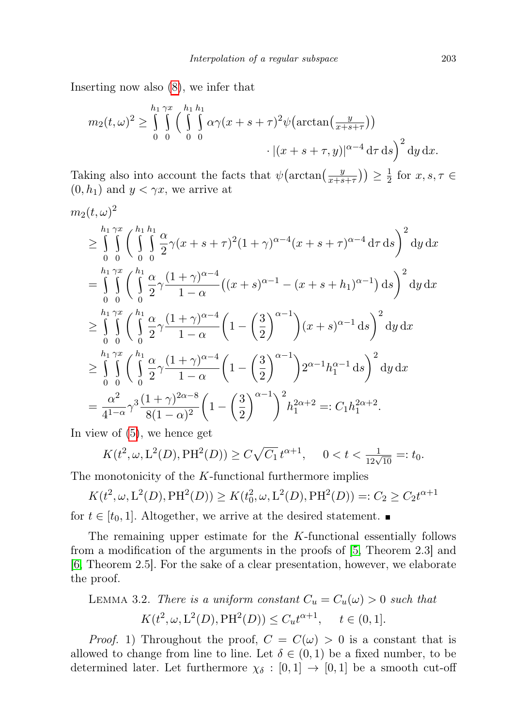Inserting now also [\(8\)](#page-5-2), we infer that

$$
m_2(t,\omega)^2 \ge \int_0^{h_1} \int_0^{\gamma x} \Big(\int_0^{h_1} \int_0^h \alpha \gamma(x+s+\tau)^2 \psi\big(\arctan\big(\frac{y}{x+s+\tau}\big)\big) \Big) \cdot |(x+s+\tau,y)|^{\alpha-4} d\tau ds\Big)^2 dy dx.
$$

Taking also into account the facts that  $\psi\left(\arctan\left(\frac{y}{x+s}\right)\right)$  $\frac{y}{x+s+\tau})\geq \frac{1}{2}$  $\frac{1}{2}$  for  $x, s, \tau \in$  $(0, h_1)$  and  $y < \gamma x$ , we arrive at

$$
m_{2}(t,\omega)^{2}
$$
\n
$$
\geq \int_{0}^{h_{1}\gamma x} \int_{0}^{h_{1}h_{1}} \frac{\alpha}{2} \gamma(x+s+\tau)^{2}(1+\gamma)^{\alpha-4}(x+s+\tau)^{\alpha-4} d\tau ds \Big)^{2} dy dx
$$
\n
$$
= \int_{0}^{h_{1}\gamma x} \int_{0}^{h_{1}} \frac{\alpha}{2} \gamma \frac{(1+\gamma)^{\alpha-4}}{1-\alpha} \left( (x+s)^{\alpha-1} - (x+s+h_{1})^{\alpha-1} \right) ds \Big)^{2} dy dx
$$
\n
$$
\geq \int_{0}^{h_{1}\gamma x} \int_{0}^{h_{1}} \frac{\alpha}{2} \gamma \frac{(1+\gamma)^{\alpha-4}}{1-\alpha} \left( 1 - \left( \frac{3}{2} \right)^{\alpha-1} \right) (x+s)^{\alpha-1} ds \Big)^{2} dy dx
$$
\n
$$
\geq \int_{0}^{h_{1}\gamma x} \int_{0}^{h_{1}} \frac{\alpha}{2} \gamma \frac{(1+\gamma)^{\alpha-4}}{1-\alpha} \left( 1 - \left( \frac{3}{2} \right)^{\alpha-1} \right) 2^{\alpha-1} h_{1}^{\alpha-1} ds \Big)^{2} dy dx
$$
\n
$$
= \frac{\alpha^{2}}{4^{1-\alpha}} \gamma^{3} \frac{(1+\gamma)^{2\alpha-8}}{8(1-\alpha)^{2}} \left( 1 - \left( \frac{3}{2} \right)^{\alpha-1} \right)^{2} h_{1}^{2\alpha+2} =: C_{1} h_{1}^{2\alpha+2}.
$$

In view of [\(5\)](#page-4-2), we hence get

$$
K(t^2, \omega, L^2(D), PH^2(D)) \ge C\sqrt{C_1} t^{\alpha+1}, \quad 0 < t < \frac{1}{12\sqrt{10}} =: t_0.
$$

The monotonicity of the  $K$ -functional furthermore implies

$$
K(t^2, \omega, L^2(D), PH^2(D)) \ge K(t_0^2, \omega, L^2(D), PH^2(D)) =: C_2 \ge C_2 t^{\alpha+1}
$$
  
for  $t \in [t_0, 1]$ . Altogether, we arrive at the desired statement.

The remaining upper estimate for the  $K$ -functional essentially follows from a modification of the arguments in the proofs of [\[5,](#page-12-10) Theorem 2.3] and [\[6,](#page-12-11) Theorem 2.5]. For the sake of a clear presentation, however, we elaborate the proof.

<span id="page-6-0"></span>LEMMA 3.2. There is a uniform constant 
$$
C_u = C_u(\omega) > 0
$$
 such that  

$$
K(t^2, \omega, L^2(D), PH^2(D)) \le C_u t^{\alpha+1}, \quad t \in (0, 1].
$$

*Proof.* 1) Throughout the proof,  $C = C(\omega) > 0$  is a constant that is allowed to change from line to line. Let  $\delta \in (0,1)$  be a fixed number, to be determined later. Let furthermore  $\chi_{\delta} : [0,1] \rightarrow [0,1]$  be a smooth cut-off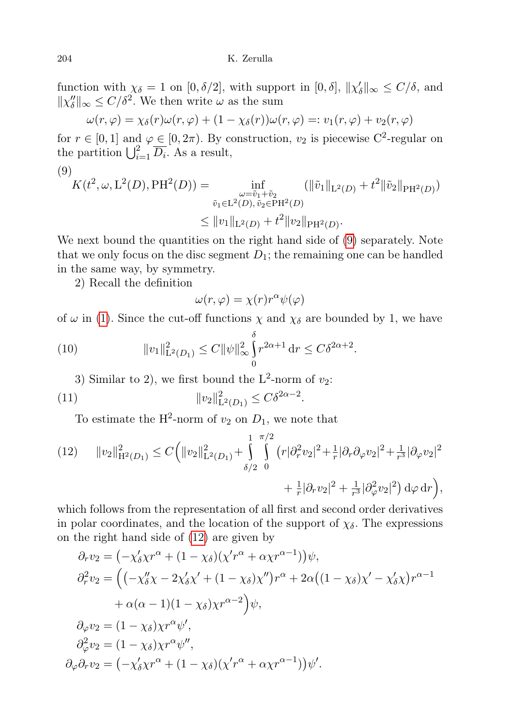function with  $\chi_{\delta} = 1$  on  $[0, \delta/2]$ , with support in  $[0, \delta]$ ,  $\|\chi'_{\delta}\|_{\infty} \leq C/\delta$ , and  $||\chi''_{\delta}||_{\infty} \leq C/\delta^2$ . We then write  $\omega$  as the sum

$$
\omega(r,\varphi) = \chi_{\delta}(r)\omega(r,\varphi) + (1 - \chi_{\delta}(r))\omega(r,\varphi) =: v_1(r,\varphi) + v_2(r,\varphi)
$$

for  $r \in [0, 1]$  and  $\varphi \in [0, 2\pi)$ . By construction,  $v_2$  is piecewise C<sup>2</sup>-regular on the partition  $\bigcup_{i=1}^2 \overline{D_i}$ . As a result,

<span id="page-7-0"></span>(9)  
\n
$$
K(t^2, \omega, L^2(D), PH^2(D)) = \inf_{\substack{\omega = \tilde{v}_1 + \tilde{v}_2 \\ \tilde{v}_1 \in L^2(D), \tilde{v}_2 \in PH^2(D)}} (||\tilde{v}_1||_{L^2(D)} + t^2 ||\tilde{v}_2||_{PH^2(D)})
$$
\n
$$
\leq ||v_1||_{L^2(D)} + t^2 ||v_2||_{PH^2(D)}.
$$

We next bound the quantities on the right hand side of [\(9\)](#page-7-0) separately. Note that we only focus on the disc segment  $D_1$ ; the remaining one can be handled in the same way, by symmetry.

2) Recall the definition

<span id="page-7-3"></span><span id="page-7-2"></span>
$$
\omega(r,\varphi) = \chi(r)r^{\alpha}\psi(\varphi)
$$

of  $\omega$  in [\(1\)](#page-0-0). Since the cut-off functions  $\chi$  and  $\chi_{\delta}$  are bounded by 1, we have

(10) 
$$
||v_1||_{\mathcal{L}^2(D_1)}^2 \leq C ||\psi||_{\infty}^2 \int_0^{\delta} r^{2\alpha+1} dr \leq C\delta^{2\alpha+2}.
$$

3) Similar to 2), we first bound the  $L^2$ -norm of  $v_2$ :

(11) 
$$
||v_2||_{\mathcal{L}^2(D_1)}^2 \leq C\delta^{2\alpha - 2}.
$$

To estimate the H<sup>2</sup>-norm of  $v_2$  on  $D_1$ , we note that

<span id="page-7-1"></span>
$$
(12) \qquad ||v_2||_{\mathcal{H}^2(D_1)}^2 \leq C \bigg(||v_2||^2_{\mathcal{L}^2(D_1)} + \int_{\delta/2}^1 \int_{0}^{\pi/2} (r |\partial_r^2 v_2|^2 + \frac{1}{r} |\partial_r \partial_\varphi v_2|^2 + \frac{1}{r^3} |\partial_\varphi v_2|^2 + \frac{1}{r^3} |\partial_\varphi v_2|^2 + \frac{1}{r^3} |\partial_\varphi v_2|^2 + \frac{1}{r^3} |\partial_\varphi v_2|^2 + \frac{1}{r^3} |\partial_\varphi v_2|^2 \bigg) d\varphi d\mathcal{r} \bigg),
$$

which follows from the representation of all first and second order derivatives in polar coordinates, and the location of the support of  $\chi_{\delta}$ . The expressions on the right hand side of [\(12\)](#page-7-1) are given by

$$
\partial_r v_2 = \left( -\chi'_\delta \chi r^\alpha + (1 - \chi_\delta) (\chi' r^\alpha + \alpha \chi r^{\alpha - 1}) \right) \psi,
$$
  
\n
$$
\partial_r^2 v_2 = \left( \left( -\chi''_\delta \chi - 2\chi'_\delta \chi' + (1 - \chi_\delta) \chi'' \right) r^\alpha + 2\alpha \left( (1 - \chi_\delta) \chi' - \chi'_\delta \chi \right) r^{\alpha - 1} \right.
$$
  
\n
$$
+ \alpha (\alpha - 1)(1 - \chi_\delta) \chi r^{\alpha - 2} \right) \psi,
$$
  
\n
$$
\partial_\varphi v_2 = (1 - \chi_\delta) \chi r^\alpha \psi',
$$
  
\n
$$
\partial_\varphi^2 v_2 = (1 - \chi_\delta) \chi r^\alpha \psi'',
$$
  
\n
$$
\partial_\varphi \partial_r v_2 = \left( -\chi'_\delta \chi r^\alpha + (1 - \chi_\delta) (\chi' r^\alpha + \alpha \chi r^{\alpha - 1}) \right) \psi'.
$$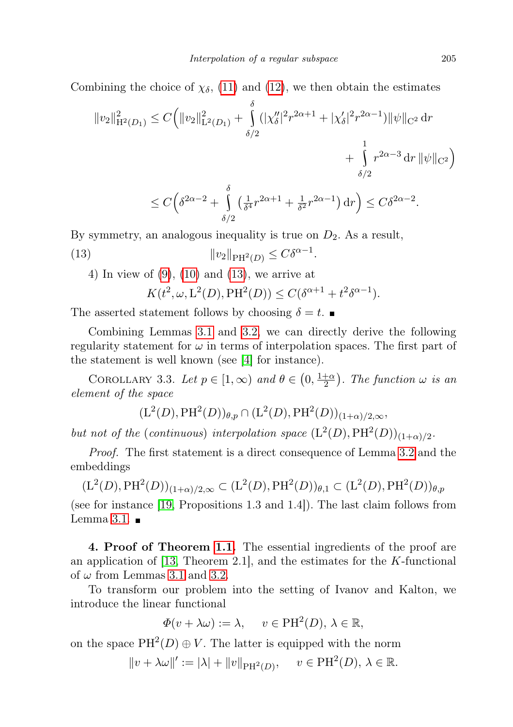Combining the choice of  $\chi_{\delta}$ , [\(11\)](#page-7-2) and [\(12\)](#page-7-1), we then obtain the estimates

$$
||v_2||_{\mathcal{H}^2(D_1)}^2 \le C \Big( ||v_2||_{\mathcal{L}^2(D_1)}^2 + \int_{\delta/2}^{\delta} (|\chi_{{\delta}}''|^2 r^{2\alpha+1} + |\chi_{{\delta}}'|^2 r^{2\alpha-1}) ||\psi||_{C^2} \, dr + \int_{\delta/2}^1 r^{2\alpha-3} \, dr \, ||\psi||_{C^2} \Big)
$$
  

$$
\le C \Big( \delta^{2\alpha-2} + \int_{\delta}^{\delta} \left( \frac{1}{\delta^4} r^{2\alpha+1} + \frac{1}{\delta^2} r^{2\alpha-1} \right) dr \Big) \le C \delta^{2\alpha-2}.
$$

By symmetry, an analogous inequality is true on  $D_2$ . As a result,

<span id="page-8-2"></span>δ/2

(13) 
$$
||v_2||_{\text{PH}^2(D)} \leq C\delta^{\alpha-1}.
$$

4) In view of [\(9\)](#page-7-0), [\(10\)](#page-7-3) and [\(13\)](#page-8-2), we arrive at

$$
K(t^2, \omega, \mathcal{L}^2(D), \mathcal{P}\mathcal{H}^2(D)) \le C(\delta^{\alpha+1} + t^2 \delta^{\alpha-1}).
$$

The asserted statement follows by choosing  $\delta = t$ .

Combining Lemmas [3.1](#page-4-0) and [3.2,](#page-6-0) we can directly derive the following regularity statement for  $\omega$  in terms of interpolation spaces. The first part of the statement is well known (see [\[4\]](#page-12-9) for instance).

<span id="page-8-1"></span>COROLLARY 3.3. Let  $p \in [1,\infty)$  and  $\theta \in (0,\frac{1+\alpha}{2})$  $\frac{+\alpha}{2}$ ). The function  $\omega$  is an element of the space

$$
(L^2(D), PH^2(D))_{\theta,p} \cap (L^2(D), PH^2(D))_{(1+\alpha)/2,\infty},
$$

but not of the (continuous) interpolation space  $(L^2(D), PH^2(D))_{(1+\alpha)/2}$ .

Proof. The first statement is a direct consequence of Lemma [3.2](#page-6-0) and the embeddings

 $(L^2(D), PH^2(D))_{(1+\alpha)/2,\infty} \subset (L^2(D), PH^2(D))_{\theta,1} \subset (L^2(D), PH^2(D))_{\theta,p}$ 

(see for instance [\[19,](#page-12-16) Propositions 1.3 and 1.4]). The last claim follows from Lemma [3.1.](#page-4-0)  $\blacksquare$ 

<span id="page-8-0"></span>4. Proof of Theorem [1.1.](#page-1-0) The essential ingredients of the proof are an application of [\[13,](#page-12-13) Theorem 2.1], and the estimates for the  $K$ -functional of  $\omega$  from Lemmas [3.1](#page-4-0) and [3.2.](#page-6-0)

To transform our problem into the setting of Ivanov and Kalton, we introduce the linear functional

$$
\Phi(v + \lambda \omega) := \lambda, \quad v \in \text{PH}^2(D), \lambda \in \mathbb{R},
$$

on the space  $PH^2(D) \oplus V$ . The latter is equipped with the norm

$$
||v + \lambda \omega||' := |\lambda| + ||v||_{\text{PH}^2(D)}, \quad v \in \text{PH}^2(D), \lambda \in \mathbb{R}.
$$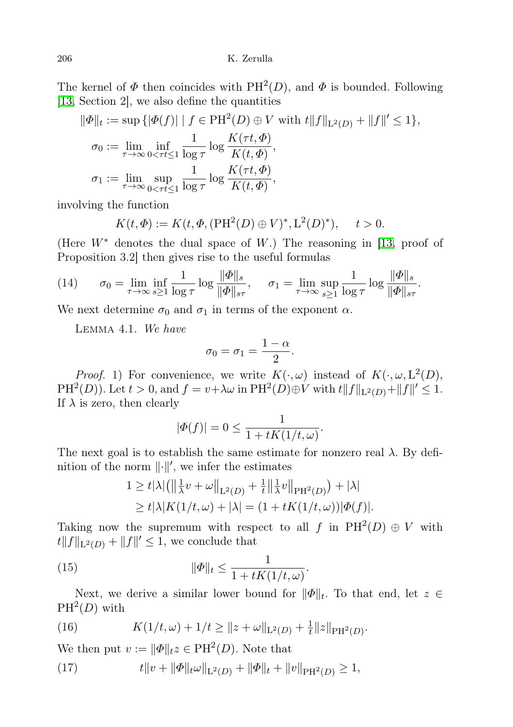The kernel of  $\Phi$  then coincides with  $PH^2(D)$ , and  $\Phi$  is bounded. Following [\[13,](#page-12-13) Section 2], we also define the quantities

$$
\|\Phi\|_{t} := \sup \{ |\Phi(f)| \mid f \in PH^{2}(D) \oplus V \text{ with } t \|f\|_{L^{2}(D)} + \|f\|' \leq 1 \},\
$$
  

$$
\sigma_{0} := \lim_{\tau \to \infty} \inf_{0 < \tau t \leq 1} \frac{1}{\log \tau} \log \frac{K(\tau t, \Phi)}{K(t, \Phi)},\
$$
  

$$
\sigma_{1} := \lim_{\tau \to \infty} \sup_{0 < \tau t \leq 1} \frac{1}{\log \tau} \log \frac{K(\tau t, \Phi)}{K(t, \Phi)},
$$

involving the function

$$
K(t, \Phi) := K(t, \Phi, (\text{PH}^2(D) \oplus V)^*, \mathcal{L}^2(D)^*), \quad t > 0.
$$

(Here  $W^*$  denotes the dual space of W.) The reasoning in [\[13,](#page-12-13) proof of Proposition 3.2] then gives rise to the useful formulas

<span id="page-9-3"></span>(14) 
$$
\sigma_0 = \lim_{\tau \to \infty} \inf_{s \ge 1} \frac{1}{\log \tau} \log \frac{\|\Phi\|_s}{\|\Phi\|_{s\tau}}, \quad \sigma_1 = \lim_{\tau \to \infty} \sup_{s \ge 1} \frac{1}{\log \tau} \log \frac{\|\Phi\|_s}{\|\Phi\|_{s\tau}}.
$$

<span id="page-9-4"></span>We next determine  $\sigma_0$  and  $\sigma_1$  in terms of the exponent  $\alpha$ .

Lemma 4.1. We have

$$
\sigma_0=\sigma_1=\frac{1-\alpha}{2}.
$$

*Proof.* 1) For convenience, we write  $K(\cdot, \omega)$  instead of  $K(\cdot, \omega, L^2(D))$ ,  $PH<sup>2</sup>(D)$ ). Let  $t > 0$ , and  $f = v + \lambda \omega$  in  $PH<sup>2</sup>(D) \oplus V$  with  $t||f||_{L<sup>2</sup>(D)} + ||f||' \leq 1$ . If  $\lambda$  is zero, then clearly

$$
|\varPhi(f)|=0\leq \frac{1}{1+tK(1/t,\omega)}.
$$

The next goal is to establish the same estimate for nonzero real  $\lambda$ . By definition of the norm  $\lVert \cdot \rVert'$ , we infer the estimates

$$
1 \ge t |\lambda| \left( \left\| \frac{1}{\lambda} v + \omega \right\|_{\mathcal{L}^2(D)} + \frac{1}{t} \left\| \frac{1}{\lambda} v \right\|_{\mathcal{P} \mathcal{H}^2(D)} \right) + |\lambda|
$$
  
\n
$$
\ge t |\lambda| K(1/t, \omega) + |\lambda| = (1 + t K(1/t, \omega)) |\Phi(f)|.
$$

Taking now the supremum with respect to all f in  $PH^2(D) \oplus V$  with  $\|f\|_{\mathcal{L}^2(D)} + \|f\|' \leq 1$ , we conclude that

<span id="page-9-2"></span>(15) 
$$
\|\Phi\|_t \leq \frac{1}{1 + tK(1/t, \omega)}.
$$

Next, we derive a similar lower bound for  $\|\Phi\|_{t}$ . To that end, let  $z \in$  $PH^2(D)$  with

<span id="page-9-0"></span>(16) 
$$
K(1/t, \omega) + 1/t \geq ||z + \omega||_{L^{2}(D)} + \frac{1}{t}||z||_{\text{PH}^{2}(D)}.
$$

We then put  $v := ||\Phi||_t z \in PH^2(D)$ . Note that

<span id="page-9-1"></span>(17) 
$$
t\|v+\|\Phi\|_{t}\omega\|_{L^{2}(D)}+\|\Phi\|_{t}+\|v\|_{\text{PH}^{2}(D)}\geq 1,
$$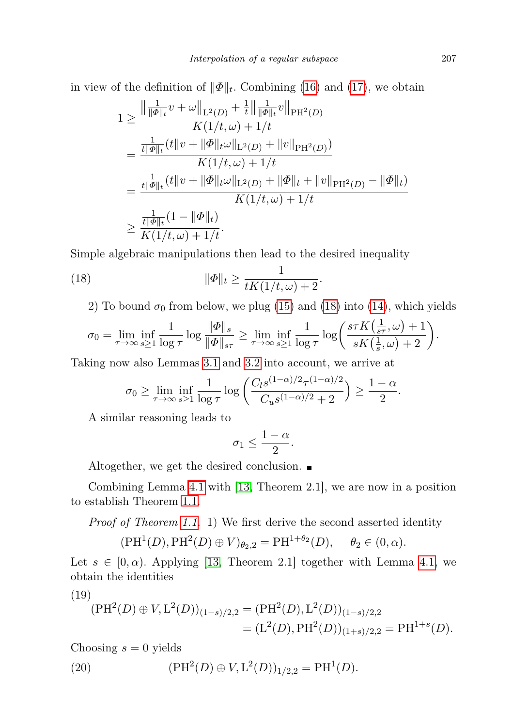in view of the definition of  $\|\Phi\|_{t}$ . Combining [\(16\)](#page-9-0) and [\(17\)](#page-9-1), we obtain

$$
1 \geq \frac{\left\|\frac{1}{\|\Phi\|_t}v + \omega\right\|_{\mathrm{L}^2(D)} + \frac{1}{t}\left\|\frac{1}{\|\Phi\|_t}v\right\|_{\mathrm{PH}^2(D)}}{K(1/t,\omega) + 1/t}
$$
  
\n
$$
= \frac{\frac{1}{t\|\Phi\|_t}(t\|v + \|\Phi\|_t\omega\|_{\mathrm{L}^2(D)} + \|v\|_{\mathrm{PH}^2(D)})}{K(1/t,\omega) + 1/t}
$$
  
\n
$$
= \frac{\frac{1}{t\|\Phi\|_t}(t\|v + \|\Phi\|_t\omega\|_{\mathrm{L}^2(D)} + \|\Phi\|_t + \|v\|_{\mathrm{PH}^2(D)} - \|\Phi\|_t)}{K(1/t,\omega) + 1/t}
$$
  
\n
$$
\geq \frac{\frac{1}{t\|\Phi\|_t}(1 - \|\Phi\|_t)}{K(1/t,\omega) + 1/t}.
$$

Simple algebraic manipulations then lead to the desired inequality

(18) 
$$
\|\Phi\|_{t} \geq \frac{1}{tK(1/t,\omega)+2}.
$$

<span id="page-10-0"></span>2) To bound  $\sigma_0$  from below, we plug [\(15\)](#page-9-2) and [\(18\)](#page-10-0) into [\(14\)](#page-9-3), which yields

$$
\sigma_0 = \lim_{\tau \to \infty} \inf_{s \ge 1} \frac{1}{\log \tau} \log \frac{\|\Phi\|_s}{\|\Phi\|_{s\tau}} \ge \lim_{\tau \to \infty} \inf_{s \ge 1} \frac{1}{\log \tau} \log \left( \frac{s\tau K\left(\frac{1}{s\tau}, \omega\right) + 1}{sK\left(\frac{1}{s}, \omega\right) + 2} \right).
$$

Taking now also Lemmas [3.1](#page-4-0) and [3.2](#page-6-0) into account, we arrive at

$$
\sigma_0 \ge \lim_{\tau \to \infty} \inf_{s \ge 1} \frac{1}{\log \tau} \log \left( \frac{C_l s^{(1-\alpha)/2} \tau^{(1-\alpha)/2}}{C_u s^{(1-\alpha)/2} + 2} \right) \ge \frac{1-\alpha}{2}.
$$

A similar reasoning leads to

$$
\sigma_1 \leq \frac{1-\alpha}{2}.
$$

Altogether, we get the desired conclusion.  $\blacksquare$ 

Combining Lemma [4.1](#page-9-4) with [\[13,](#page-12-13) Theorem 2.1], we are now in a position to establish Theorem [1.1.](#page-1-0)

Proof of Theorem [1.1.](#page-1-0) 1) We first derive the second asserted identity

$$
(\text{PH}^1(D), \text{PH}^2(D) \oplus V)_{\theta_2,2} = \text{PH}^{1+\theta_2}(D), \quad \theta_2 \in (0, \alpha).
$$

Let  $s \in [0, \alpha)$ . Applying [\[13,](#page-12-13) Theorem 2.1] together with Lemma [4.1,](#page-9-4) we obtain the identities

<span id="page-10-1"></span>
$$
(19)
$$

<span id="page-10-2"></span>
$$
(\text{PH}^2(D) \oplus V, \mathcal{L}^2(D))_{(1-s)/2,2} = (\text{PH}^2(D), \mathcal{L}^2(D))_{(1-s)/2,2}
$$
  
= 
$$
(\mathcal{L}^2(D), \text{PH}^2(D))_{(1+s)/2,2} = \text{PH}^{1+s}(D).
$$

Choosing  $s = 0$  yields

(20) 
$$
(\text{PH}^2(D) \oplus V, \mathcal{L}^2(D))_{1/2,2} = \text{PH}^1(D).
$$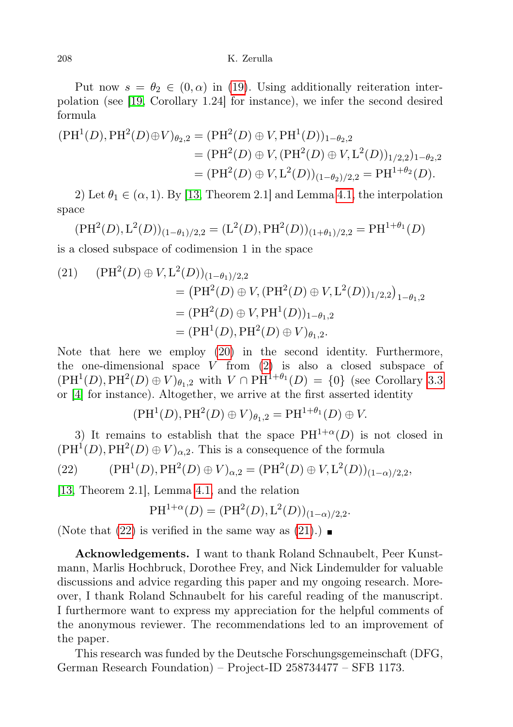### 208 K. Zerulla

Put now  $s = \theta_2 \in (0, \alpha)$  in [\(19\)](#page-10-1). Using additionally reiteration interpolation (see [\[19,](#page-12-16) Corollary 1.24] for instance), we infer the second desired formula

$$
\begin{aligned} (\text{PH}^1(D), \text{PH}^2(D) \oplus V)_{\theta_2,2} &= (\text{PH}^2(D) \oplus V, \text{PH}^1(D))_{1-\theta_2,2} \\ &= (\text{PH}^2(D) \oplus V, (\text{PH}^2(D) \oplus V, \text{L}^2(D))_{1/2,2})_{1-\theta_2,2} \\ &= (\text{PH}^2(D) \oplus V, \text{L}^2(D))_{(1-\theta_2)/2,2} = \text{PH}^{1+\theta_2}(D). \end{aligned}
$$

2) Let  $\theta_1 \in (\alpha, 1)$ . By [\[13,](#page-12-13) Theorem 2.1] and Lemma [4.1,](#page-9-4) the interpolation space

$$
(\text{PH}^2(D), \text{L}^2(D))_{(1-\theta_1)/2,2} = (\text{L}^2(D), \text{PH}^2(D))_{(1+\theta_1)/2,2} = \text{PH}^{1+\theta_1}(D)
$$

is a closed subspace of codimension 1 in the space

<span id="page-11-1"></span>(21) 
$$
(\text{PH}^2(D) \oplus V, \text{L}^2(D))_{(1-\theta_1)/2,2}
$$
  
\n
$$
= (\text{PH}^2(D) \oplus V, (\text{PH}^2(D) \oplus V, \text{L}^2(D))_{1/2,2})_{1-\theta_1,2}
$$
  
\n
$$
= (\text{PH}^2(D) \oplus V, \text{PH}^1(D))_{1-\theta_1,2}
$$
  
\n
$$
= (\text{PH}^1(D), \text{PH}^2(D) \oplus V)_{\theta_1,2}.
$$

Note that here we employ [\(20\)](#page-10-2) in the second identity. Furthermore, the one-dimensional space  $V$  from  $(2)$  is also a closed subspace of  $(PH<sup>1</sup>(D), PH<sup>2</sup>(D) \oplus V)_{\theta_1,2}$  with  $V \cap PH<sup>1+\theta_1</sup>(D) = \{0\}$  (see Corollary [3.3](#page-8-1) or [\[4\]](#page-12-9) for instance). Altogether, we arrive at the first asserted identity

$$
(\mathrm{PH}^1(D), \mathrm{PH}^2(D) \oplus V)_{\theta_1,2} = \mathrm{PH}^{1+\theta_1}(D) \oplus V.
$$

3) It remains to establish that the space  $PH^{1+\alpha}(D)$  is not closed in  $(PH<sup>1</sup>(D), PH<sup>2</sup>(D) \oplus V)_{\alpha,2}$ . This is a consequence of the formula

<span id="page-11-0"></span>(22) 
$$
(\text{PH}^1(D), \text{PH}^2(D) \oplus V)_{\alpha,2} = (\text{PH}^2(D) \oplus V, \text{L}^2(D))_{(1-\alpha)/2,2},
$$

[\[13,](#page-12-13) Theorem 2.1], Lemma [4.1,](#page-9-4) and the relation

$$
PH^{1+\alpha}(D) = (PH^2(D), L^2(D))_{(1-\alpha)/2,2}.
$$

(Note that  $(22)$  is verified in the same way as  $(21)$ .)

Acknowledgements. I want to thank Roland Schnaubelt, Peer Kunstmann, Marlis Hochbruck, Dorothee Frey, and Nick Lindemulder for valuable discussions and advice regarding this paper and my ongoing research. Moreover, I thank Roland Schnaubelt for his careful reading of the manuscript. I furthermore want to express my appreciation for the helpful comments of the anonymous reviewer. The recommendations led to an improvement of the paper.

This research was funded by the Deutsche Forschungsgemeinschaft (DFG, German Research Foundation) – Project-ID 258734477 – SFB 1173.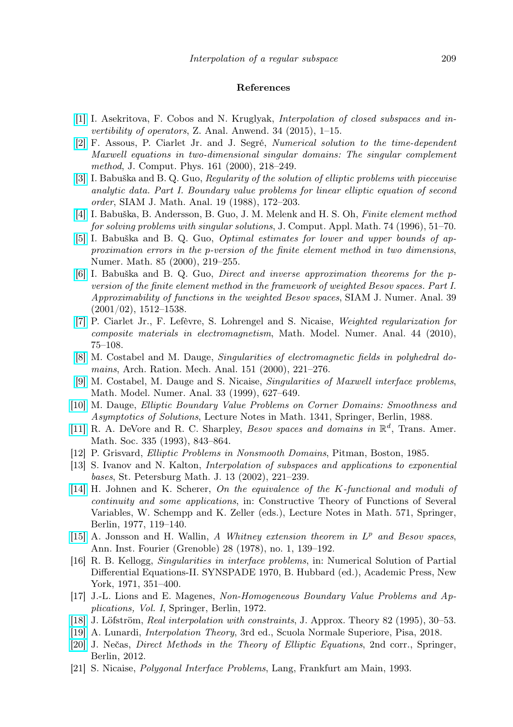#### References

- <span id="page-12-15"></span>[\[1\]](http://dx.doi.org/10.4171/ZAA/1525) I. Asekritova, F. Cobos and N. Kruglyak, Interpolation of closed subspaces and invertibility of operators, Z. Anal. Anwend. 34 (2015), 1–15.
- <span id="page-12-8"></span>[\[2\]](http://dx.doi.org/10.1006/jcph.2000.6499) F. Assous, P. Ciarlet Jr. and J. Segré, Numerical solution to the time-dependent Maxwell equations in two-dimensional singular domains: The singular complement method, J. Comput. Phys. 161 (2000), 218–249.
- <span id="page-12-3"></span>[\[3\]](http://dx.doi.org/10.1137/0519014) I. Babuška and B. Q. Guo, Regularity of the solution of elliptic problems with piecewise analytic data. Part I. Boundary value problems for linear elliptic equation of second order, SIAM J. Math. Anal. 19 (1988), 172–203.
- <span id="page-12-9"></span>[\[4\]](http://dx.doi.org/10.1016/0377-0427(96)00017-9) I. Babuška, B. Andersson, B. Guo, J. M. Melenk and H. S. Oh, Finite element method for solving problems with singular solutions, J. Comput. Appl. Math. 74 (1996), 51–70.
- <span id="page-12-10"></span>[\[5\]](http://dx.doi.org/10.1007/PL00005387) I. Babuška and B. Q. Guo, Optimal estimates for lower and upper bounds of approximation errors in the p-version of the finite element method in two dimensions, Numer. Math. 85 (2000), 219–255.
- <span id="page-12-11"></span>[\[6\]](http://dx.doi.org/10.1137/S0036142901356551) I. Babuška and B. Q. Guo, Direct and inverse approximation theorems for the pversion of the finite element method in the framework of weighted Besov spaces. Part I. Approximability of functions in the weighted Besov spaces, SIAM J. Numer. Anal. 39 (2001/02), 1512–1538.
- <span id="page-12-7"></span>[\[7\]](http://dx.doi.org/10.1051/m2an/2009041) P. Ciarlet Jr., F. Lefèvre, S. Lohrengel and S. Nicaise, Weighted regularization for composite materials in electromagnetism, Math. Model. Numer. Anal. 44 (2010), 75–108.
- <span id="page-12-5"></span>[\[8\]](http://dx.doi.org/10.1007/s002050050197) M. Costabel and M. Dauge, Singularities of electromagnetic fields in polyhedral domains, Arch. Ration. Mech. Anal. 151 (2000), 221–276.
- <span id="page-12-6"></span>[\[9\]](http://dx.doi.org/10.1051/m2an:1999155) M. Costabel, M. Dauge and S. Nicaise, Singularities of Maxwell interface problems, Math. Model. Numer. Anal. 33 (1999), 627–649.
- <span id="page-12-1"></span>[\[10\]](http://dx.doi.org/10.1007/BFb0086690) M. Dauge, Elliptic Boundary Value Problems on Corner Domains: Smoothness and Asymptotics of Solutions, Lecture Notes in Math. 1341, Springer, Berlin, 1988.
- <span id="page-12-19"></span>[\[11\]](http://dx.doi.org/10.1090/S0002-9947-1993-1152321-6) R. A. DeVore and R. C. Sharpley, *Besov spaces and domains in*  $\mathbb{R}^d$ , Trans. Amer. Math. Soc. 335 (1993), 843–864.
- <span id="page-12-0"></span>[12] P. Grisvard, Elliptic Problems in Nonsmooth Domains, Pitman, Boston, 1985.
- <span id="page-12-13"></span>[13] S. Ivanov and N. Kalton, Interpolation of subspaces and applications to exponential bases, St. Petersburg Math. J. 13 (2002), 221–239.
- <span id="page-12-20"></span>[\[14\]](http://dx.doi.org/10.1007/BFb0086569) H. Johnen and K. Scherer, On the equivalence of the K-functional and moduli of continuity and some applications, in: Constructive Theory of Functions of Several Variables, W. Schempp and K. Zeller (eds.), Lecture Notes in Math. 571, Springer, Berlin, 1977, 119–140.
- <span id="page-12-18"></span>[\[15\]](http://dx.doi.org/10.5802/aif.684) A. Jonsson and H. Wallin, A Whitney extension theorem in  $L^p$  and Besov spaces, Ann. Inst. Fourier (Grenoble) 28 (1978), no. 1, 139–192.
- <span id="page-12-4"></span>[16] R. B. Kellogg, Singularities in interface problems, in: Numerical Solution of Partial Differential Equations-II. SYNSPADE 1970, B. Hubbard (ed.), Academic Press, New York, 1971, 351–400.
- <span id="page-12-12"></span>[17] J.-L. Lions and E. Magenes, Non-Homogeneous Boundary Value Problems and Applications, Vol. I, Springer, Berlin, 1972.
- <span id="page-12-14"></span>[\[18\]](http://dx.doi.org/10.1006/jath.1995.1066) J. Löfström, Real interpolation with constraints, J. Approx. Theory 82 (1995), 30–53.
- <span id="page-12-16"></span>[\[19\]](http://dx.doi.org/10.1007/978-88-7642-638-4) A. Lunardi, Interpolation Theory, 3rd ed., Scuola Normale Superiore, Pisa, 2018.
- <span id="page-12-17"></span>[\[20\]](http://dx.doi.org/10.1007/978-3-642-10455-8) J. Nečas, Direct Methods in the Theory of Elliptic Equations, 2nd corr., Springer, Berlin, 2012.
- <span id="page-12-2"></span>[21] S. Nicaise, Polygonal Interface Problems, Lang, Frankfurt am Main, 1993.